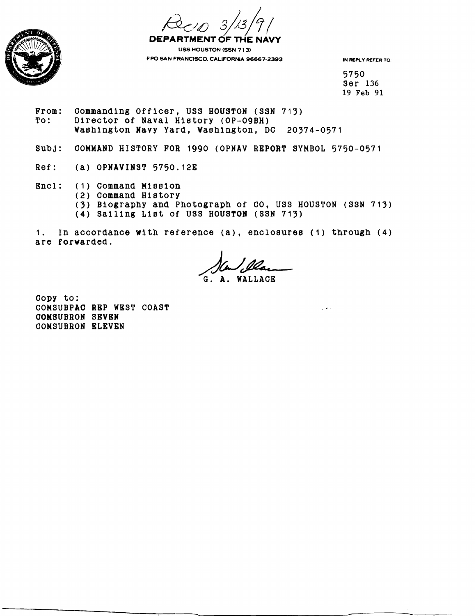



**USS HOUSTON (SSN 7 1 3) FPO SAN FRANCISCQ CALIFORNIA 96667-2393 IN REPLY REFER TO** 

5750 Ser 136 **19 Feb 91** 

 $\mu \neq 0$ 

**From: Commanding Officer, USS HOUSTON (SSN 713) To: Director of Naval History (OP-09BH) Washington Navy Yard, Washington, DC 20374-0571** 

**SubJ: COMMAND HISTORY FOB 1990 (OPNAV REPORT SYMBOL 5750-0571** 

- **Ref: (a) OPNAVINST 5750.12E**
- **Encl.: (1) command Mission** 
	- **(2) Command History**
	- **(3) Biography and Photograph of CO, uss HOUSTON (SSN 713)**
	- **(4) Sailing List Of USS HOUSTON (SSN 713)**

**1. In accordance with reference (a), enclosures (1) through (4) are forwarded.** 

Ja Jude 1944

**Copy to: COMSUBPAC REP WEST COAST OONSUBRON SEVEN COMSUBRON ELEVEN**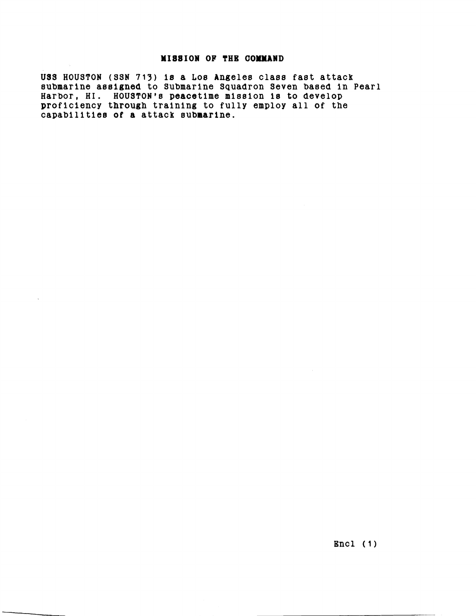## MISSION OF THE COMMAND

**USS HOWSTON (SSN 713) is a Lo8 Angeles clasa faet attack**  submarine assigned to Submarine Squadron Seven based in Pearl **Harbor, HI. HOUSTOW'8 peacetime mlselon 18 to develop**  proficiency through training to fully employ all of the **capabllltlee of a attack submarine.**